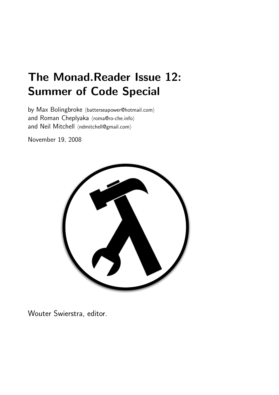# <span id="page-0-0"></span>The Monad.Reader Issue 12: Summer of Code Special

by Max Bolingbroke (batterseapower@hotmail.com) and Roman Cheplyaka (roma@ro-che.info) and Neil Mitchell  $\langle$ ndmitchell@gmail.com $\rangle$ 

November 19, 2008



Wouter Swierstra, editor.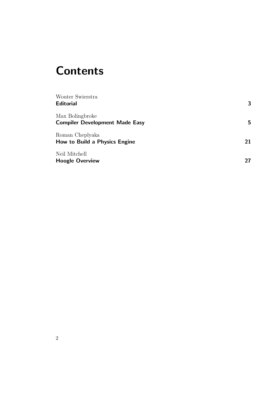# **Contents**

| Wouter Swierstra<br><b>Editorial</b>                     | 3  |
|----------------------------------------------------------|----|
| Max Bolingbroke<br><b>Compiler Development Made Easy</b> | 5  |
| Roman Cheplyaka<br><b>How to Build a Physics Engine</b>  | 21 |
| Neil Mitchell<br><b>Hoogle Overview</b>                  | 27 |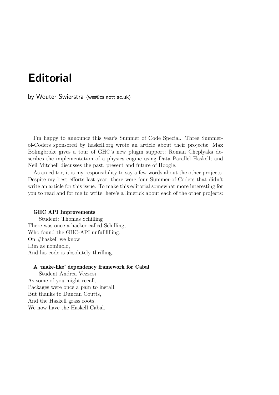# **Editorial**

by Wouter Swierstra (wss@cs.nott.ac.uk)

<span id="page-2-0"></span>I'm happy to announce this year's Summer of Code Special. Three Summerof-Coders sponsored by haskell.org wrote an article about their projects: Max Bolingbroke gives a tour of GHC's new plugin support; Roman Cheplyaka describes the implementation of a physics engine using Data Parallel Haskell; and Neil Mitchell discusses the past, present and future of Hoogle.

As an editor, it is my responsibility to say a few words about the other projects. Despite my best efforts last year, there were four Summer-of-Coders that didn't write an article for this issue. To make this editorial somewhat more interesting for you to read and for me to write, here's a limerick about each of the other projects:

#### GHC API Improvements

Student: Thomas Schilling There was once a hacker called Schilling, Who found the GHC-API unfullfilling, On #haskell we know Him as nominolo, And his code is absolutely thrilling.

#### A 'make-like' dependency framework for Cabal

Student Andrea Vezzosi As some of you might recall, Packages were once a pain to install. But thanks to Duncan Coutts, And the Haskell grass roots, We now have the Haskell Cabal.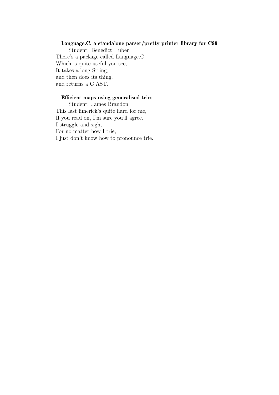#### Language.C, a standalone parser/pretty printer library for C99

Student: Benedict Huber There's a package called Language.C, Which is quite useful you see, It takes a long String, and then does its thing, and returns a C AST.

#### Efficient maps using generalised tries

Student: James Brandon This last limerick's quite hard for me, If you read on, I'm sure you'll agree. I struggle and sigh, For no matter how I trie, I just don't know how to pronounce trie.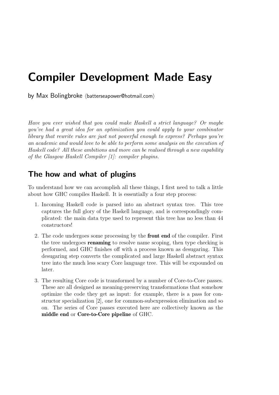# Compiler Development Made Easy

by Max Bolingbroke (batterseapower@hotmail.com)

<span id="page-4-0"></span>Have you ever wished that you could make Haskell a strict language? Or maybe you've had a great idea for an optimization you could apply to your combinator library that rewrite rules are just not powerful enough to express? Perhaps you're an academic and would love to be able to perform some analysis on the execution of Haskell code? All these ambitions and more can be realised through a new capability of the Glasgow Haskell Compiler [\[1\]](#page-16-0): compiler plugins.

## The how and what of plugins

To understand how we can accomplish all these things, I first need to talk a little about how GHC compiles Haskell. It is essentially a four step process:

- 1. Incoming Haskell code is parsed into an abstract syntax tree. This tree captures the full glory of the Haskell language, and is correspondingly complicated: the main data type used to represent this tree has no less than 44 constructors!
- 2. The code undergoes some processing by the front end of the compiler. First the tree undergoes **renaming** to resolve name scoping, then type checking is performed, and GHC finishes off with a process known as desugaring. This desugaring step converts the complicated and large Haskell abstract syntax tree into the much less scary Core language tree. This will be expounded on later.
- <span id="page-4-1"></span>3. The resulting Core code is transformed by a number of Core-to-Core passes. These are all designed as meaning-preserving transformations that somehow optimize the code they get as input: for example, there is a pass for constructor specialization [\[2\]](#page-16-1), one for common-subexpression elimination and so on. The series of Core passes executed here are collectively known as the middle end or Core-to-Core pipeline of GHC.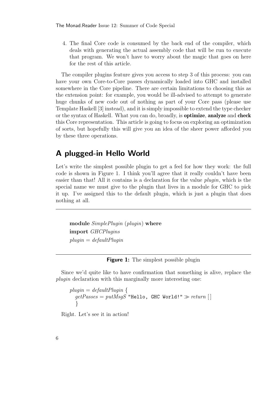The Monad.Reader Issue 12: Summer of Code Special

4. The final Core code is consumed by the back end of the compiler, which deals with generating the actual assembly code that will be run to execute that program. We won't have to worry about the magic that goes on here for the rest of this article.

The compiler plugins feature gives you access to step [3](#page-4-1) of this process: you can have your own Core-to-Core passes dynamically loaded into GHC and installed somewhere in the Core pipeline. There are certain limitations to choosing this as the extension point: for example, you would be ill-advised to attempt to generate huge chunks of new code out of nothing as part of your Core pass (please use Template Haskell [\[3\]](#page-16-2) instead), and it is simply impossible to extend the type checker or the syntax of Haskell. What you can do, broadly, is **optimize**, **analyze** and **check** this Core representation. This article is going to focus on exploring an optimization of sorts, but hopefully this will give you an idea of the sheer power afforded you by these three operations.

## A plugged-in Hello World

Let's write the simplest possible plugin to get a feel for how they work: the full code is shown in Figure [1.](#page-5-0) I think you'll agree that it really couldn't have been easier than that! All it contains is a declaration for the value *plugin*, which is the special name we must give to the plugin that lives in a module for GHC to pick it up. I've assigned this to the default plugin, which is just a plugin that does nothing at all.

module  $SimplePluain$  (plugin) where import GHCPlugins  $pluqin = defaultPluqin$ 

**Figure 1:** The simplest possible plugin

<span id="page-5-0"></span>Since we'd quite like to have confirmation that something is alive, replace the plugin declaration with this marginally more interesting one:

```
pluqin = defaultPluqingetPasses = putMsgS "Hello, GHC World!" \gg return []
  }
```
Right. Let's see it in action!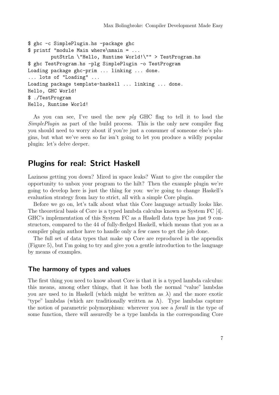```
$ ghc -c SimplePlugin.hs -package ghc
$ printf "module Main where\nmain = ...
       putStrLn \"Hello, Runtime World!\"" > TestProgram.hs
$ ghc TestProgram.hs -plg SimplePlugin -o TestProgram
Loading package ghc-prim ... linking ... done.
... lots of "Loading" ...
Loading package template-haskell ... linking ... done.
Hello, GHC World!
$ ./TestProgram
Hello, Runtime World!
```
As you can see, I've used the new plg GHC flag to tell it to load the SimplePlugin as part of the build process. This is the only new compiler flag you should need to worry about if you're just a consumer of someone else's plugins, but what we've seen so far isn't going to let you produce a wildly popular plugin: let's delve deeper.

## Plugins for real: Strict Haskell

Laziness getting you down? Mired in space leaks? Want to give the compiler the opportunity to unbox your program to the hilt? Then the example plugin we're going to develop here is just the thing for you: we're going to change Haskell's evaluation strategy from lazy to strict, all with a simple Core plugin.

Before we go on, let's talk about what this Core language actually looks like. The theoretical basis of Core is a typed lambda calculus known as System FC [\[4\]](#page-16-3). GHC's implementation of this System FC as a Haskell data type has just 9 constructors, compared to the 44 of fully-fledged Haskell, which means that you as a compiler plugin author have to handle only a few cases to get the job done.

The full set of data types that make up Core are reproduced in the appendix (Figure [5\)](#page-18-0), but I'm going to try and give you a gentle introduction to the language by means of examples.

#### The harmony of types and values

The first thing you need to know about Core is that it is a typed lambda calculus: this means, among other things, that it has both the normal "value" lambdas you are used to in Haskell (which might be written as  $\lambda$ ) and the more exotic "type" lambdas (which are traditionally written as  $\Lambda$ ). Type lambdas capture the notion of parametric polymorphism: wherever you see a forall in the type of some function, there will assuredly be a type lambda in the corresponding Core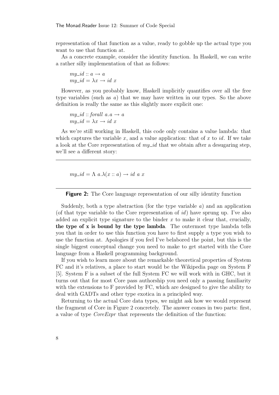representation of that function as a value, ready to gobble up the actual type you want to use that function at.

As a concrete example, consider the identity function. In Haskell, we can write a rather silly implementation of that as follows:

$$
my\_id :: a \rightarrow a
$$
  

$$
my\_id = \lambda x \rightarrow id \ x
$$

However, as you probably know, Haskell implicitly quantifies over all the free type variables (such as a) that we may have written in our types. So the above definition is really the same as this slightly more explicit one:

$$
my\_id :: for all a.a \rightarrow a
$$
  

$$
my\_id = \lambda x \rightarrow id x
$$

As we're still working in Haskell, this code only contains a value lambda: that which captures the variable x, and a value application: that of x to id. If we take a look at the Core representation of  $my_id$  that we obtain after a desugaring step, we'll see a different story:

 $my\_id = \Lambda a.\lambda(x:: a) \rightarrow id \ a \ x$ 

<span id="page-7-0"></span>Figure 2: The Core language representation of our silly identity function

Suddenly, both a type abstraction (for the type variable  $a$ ) and an application (of that type variable to the Core representation of  $id$ ) have sprung up. I've also added an explicit type signature to the binder  $x$  to make it clear that, crucially, the type of x is bound by the type lambda. The outermost type lambda tells you that in order to use this function you have to first supply a type you wish to use the function at. Apologies if you feel I've belabored the point, but this is the single biggest conceptual change you need to make to get started with the Core language from a Haskell programming background.

If you wish to learn more about the remarkable theoretical properties of System FC and it's relatives, a place to start would be the Wikipedia page on System F [\[5\]](#page-16-4). System F is a subset of the full System FC we will work with in GHC, but it turns out that for most Core pass authorship you need only a passing familiarity with the extensions to F provided by FC, which are designed to give the ability to deal with GADTs and other type exotica in a principled way.

Returning to the actual Core data types, we might ask how we would represent the fragment of Core in Figure [2](#page-7-0) concretely. The answer comes in two parts: first, a value of type CoreExpr that represents the definition of the function: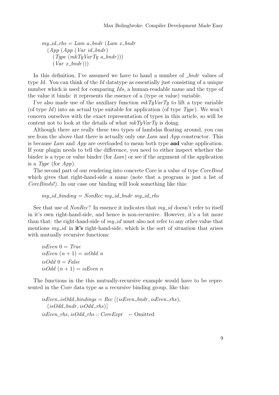$my\_id\_rhs = Lam \ a\_bndr \ (Lam \ x\_bndr)$  $(App (App (Var id<sub>-</sub>bndr))$  $(Type \ (mkTyVarTy \ a_{bndr})))$  $(Var x_{bndr}))$ 

In this definition, I've assumed we have to hand a number of  $_{b}ndr$  values of type Id. You can think of the Id datatype as essentially just consisting of a unique number which is used for comparing Ids, a human-readable name and the type of the value it binds: it represents the essence of a (type or value) variable.

I've also made use of the auxiliary function  $mkTyVarTy$  to lift a type variable (of type  $Id$ ) into an actual type suitable for application (of type  $Type$ ). We won't concern ourselves with the exact representation of types in this article, so will be content not to look at the details of what  $mkTyVarTy$  is doing.

Although there are really these two types of lambdas floating around, you can see from the above that there is actually only one  $Lam$  and  $App$  constructor. This is because Lam and  $App$  are overloaded to mean both type **and** value application. If your plugin needs to tell the difference, you need to either inspect whether the binder is a type or value binder (for  $Lam$ ) or see if the argument of the application is a Type (for  $App$ ).

The second part of our rendering into concrete Core is a value of type *CoreBind* which gives that right-hand-side a name (note that a program is just a list of CoreBinds!). In our case our binding will look something like this:

#### $my\_id\_binding = NonRec \ my\_id\_bndr \ my\_id\_rhs$

See that use of *NonRec*? In essence it indicates that  $m\psi_{-}id$  doesn't refer to itself in it's own right-hand-side, and hence is non-recursive. However, it's a bit more than that: the right-hand-side of  $my_id$  must also not refer to any other value that mentions  $my\_id$  in it's right-hand-side, which is the sort of situation that arises with mutually recursive functions:

 $isEven 0 = True$ isEven  $(n + 1) = isOdd n$  $isOdd 0 = False$ isOdd  $(n + 1) = isEven n$ 

The functions in the this mutually-recursive example would have to be represented in the Core data type as a recursive binding group, like this:

 $isEven\_isOdd\_bindings = Rec$  [( $isEven\_bndr, isEven\_rhs$ ),  $(isOdd\_bndr, isOdd\_rhs)$ ]  $isEven\_rhs, isOdd\_rhs :: CoreExpr$  -- Omitted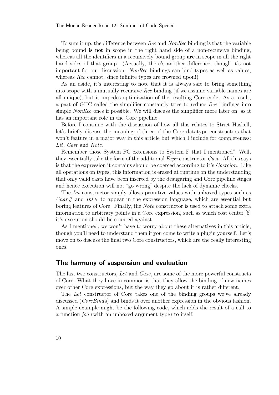To sum it up, the difference between Rec and NonRec binding is that the variable being bound is not in scope in the right hand side of a non-recursive binding, whereas all the identifiers in a recursively bound group **are** in scope in all the right hand sides of that group. (Actually, there's another difference, though it's not important for our discussion: NonRec bindings can bind types as well as values, whereas Rec cannot, since infinite types are frowned upon!)

As an aside, it's interesting to note that it is always safe to bring something into scope with a mutually recursive Rec binding (if we assume variable names are all unique), but it impedes optimization of the resulting Core code. As a result, a part of GHC called the simplifier constantly tries to reduce Rec bindings into simple NonRec ones if possible. We will discuss the simplifier more later on, as it has an important role in the Core pipeline.

Before I continue with the discussion of how all this relates to Strict Haskell, let's briefly discuss the meaning of three of the Core datatype constructors that won't feature in a major way in this article but which I include for completeness: Lit, Cast and Note.

Remember those System FC extensions to System F that I mentioned? Well, they essentially take the form of the additional  $Expr$  constructor  $Cast.$  All this says is that the expression it contains should be coerced according to it's Coercion. Like all operations on types, this information is erased at runtime on the understanding that only valid casts have been inserted by the desugaring and Core pipeline stages and hence execution will not "go wrong" despite the lack of dynamic checks.

The Lit constructor simply allows primitive values with unboxed types such as *Char#* and *Int#* to appear in the expression language, which are essential but boring features of Core. Finally, the Note constructor is used to attach some extra information to arbitrary points in a Core expression, such as which cost center [\[6\]](#page-16-5) it's execution should be counted against.

As I mentioned, we won't have to worry about these alternatives in this article, though you'll need to understand them if you come to write a plugin yourself. Let's move on to discuss the final two Core constructors, which are the really interesting ones.

#### The harmony of suspension and evaluation

The last two constructors, Let and Case, are some of the more powerful constructs of Core. What they have in common is that they allow the binding of new names over other Core expressions, but the way they go about it is rather different.

The Let constructor of Core takes one of the binding groups we've already discussed (CoreBinds) and binds it over another expression in the obvious fashion. A simple example might be the following code, which adds the result of a call to a function foo (with an unboxed argument type) to itself: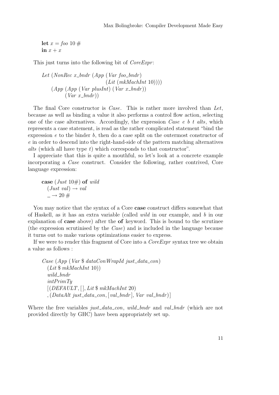let  $x = foo 10 \#$ in  $x + x$ 

This just turns into the following bit of *CoreExpr*:

Let (NonRec  $x$ \_bndr (App (Var foo\_bndr)  $(Lit$   $(mkMachInt 10)))$  $(App (App (Var plus Int) (Var x_{bndr}))$  $(Var x_{bndr})$ 

The final Core constructor is *Case*. This is rather more involved than Let, because as well as binding a value it also performs a control flow action, selecting one of the case alternatives. Accordingly, the expression Case  $e\;b\;t\;alts$ , which represents a case statement, is read as the rather complicated statement "bind the expression  $e$  to the binder  $b$ , then do a case split on the outermost constructor of e in order to descend into the right-hand-side of the pattern matching alternatives alts (which all have type  $t$ ) which corresponds to that constructor".

I appreciate that this is quite a mouthful, so let's look at a concrete example incorporating a Case construct. Consider the following, rather contrived, Core language expression:

case (*Just* 10#) of wild  $(Just\ val) \rightarrow val$  $\overline{\phantom{0}}$   $\rightarrow$  20 #

You may notice that the syntax of a Core **case** construct differs somewhat that of Haskell, as it has an extra variable (called wild in our example, and b in our explanation of case above) after the of keyword. This is bound to the scrutinee (the expression scrutinised by the Case) and is included in the language because it turns out to make various optimizations easier to express.

If we were to render this fragment of Core into a CoreExpr syntax tree we obtain a value as follows :

 $Case (App (Var \$  dataConWrapId just\_data\_con)  $(Lit \$ <sup> $m kMachInt 10)$ </sup>  $wild\_bndr$ intPrimTy  $[(DEFAULT, [], Lit$  \$ mkMachInt 20) ,  $(DataAlt\ just\_data\_con, [val\_bndr], Var\ val\_bndr]$ 

Where the free variables just\_data\_con, wild\_bndr and val\_bndr (which are not provided directly by GHC) have been appropriately set up.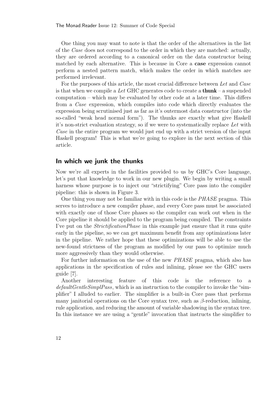One thing you may want to note is that the order of the alternatives in the list of the Case does not correspond to the order in which they are matched: actually, they are ordered according to a canonical order on the data constructor being matched by each alternative. This is because in Core a case expression cannot perform a nested pattern match, which makes the order in which matches are performed irrelevant.

For the purposes of this article, the most crucial difference between Let and Case is that when we compile a Let GHC generates code to create a **thunk** – a suspended computation – which may be evaluated by other code at a later time. This differs from a Case expression, which compiles into code which directly evaluates the expression being scrutinised just as far as it's outermost data constructor (into the so-called "weak head normal form"). The thunks are exactly what give Haskell it's non-strict evaluation strategy, so if we were to systematically replace Let with Case in the entire program we would just end up with a strict version of the input Haskell program! This is what we're going to explore in the next section of this article.

#### In which we junk the thunks

Now we're all experts in the facilities provided to us by GHC's Core language, let's put that knowledge to work in our new plugin. We begin by writing a small harness whose purpose is to inject our "strictifying" Core pass into the compiler pipeline: this is shown in Figure [3.](#page-12-0)

One thing you may not be familiar with in this code is the PHASE pragma. This serves to introduce a new compiler phase, and every Core pass must be associated with exactly one of those Core phases so the compiler can work out when in the Core pipeline it should be applied to the program being compiled. The constraints I've put on the StrictificationPhase in this example just ensure that it runs quite early in the pipeline, so we can get maximum benefit from any optimizations later in the pipeline. We rather hope that these optimizations will be able to use the new-found strictness of the program as modified by our pass to optimize much more aggressively than they would otherwise.

For further information on the use of the new *PHASE* pragma, which also has applications in the specification of rules and inlining, please see the GHC users guide [\[7\]](#page-16-6).

Another interesting feature of this code is the reference to a default Gentle SimplPass, which is an instruction to the compiler to invoke the "simplifier" I alluded to earlier. The simplifier is a built-in Core pass that performs many janitorial operations on the Core syntax tree, such as  $\beta$ -reduction, inlining, rule application, and reducing the amount of variable shadowing in the syntax tree. In this instance we are using a "gentle" invocation that instructs the simplifier to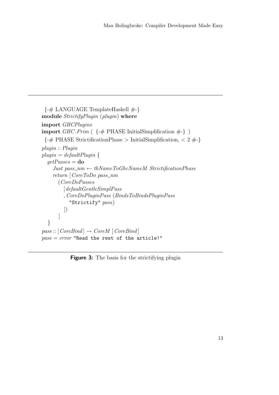```
{-# LANGUAGE TemplateHaskell #-}
module StrictifyPlugin (plugin) where
import GHCPlugins
import GHC .Prim (\{-\# PHASE InitialSimplification \#-\})
 \{\div\# \text{ PHASE}\text{ StrictificationPhase} > \text{InitialSimplification}, < 2 \#-\}plugin :: Plugin
plugin = defaultPlugingetPasses =do
    Just pass\_nm \leftarrow thNameToGhcNameM StrictificationPhasereturn [CoreToDo pass_nm
       (CoreDoPasses
         [defaultGentleSimplPass
         , CoreDoPluginPass (BindsToBindsPluginPass
           "Strictify" pass)
         ])
       ]
  }
pass :: [CoreBind] \rightarrow CoreM [CoreBind]pass = error "Read the rest of the article!"
```
<span id="page-12-0"></span>Figure 3: The basis for the strictifying plugin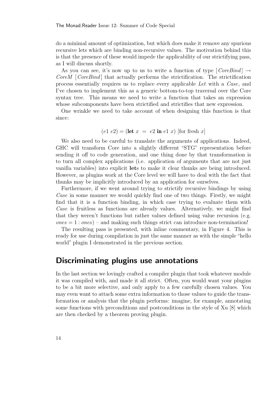do a minimal amount of optimization, but which does make it remove any spurious recursive lets which are binding non-recursive values. The motivation behind this is that the presence of these would impede the applicability of our strictifying pass, as I will discuss shortly.

As you can see, it's now up to us to write a function of type  $[CoreBind] \rightarrow$  $CoreM$  [CoreBind] that actually performs the strictification. The strictification process essentially requires us to replace every applicable Let with a Case, and I've chosen to implement this as a generic bottom-to-top traversal over the Core syntax tree. This means we need to write a function that takes an expression whose subcomponents have been strictified and strictifies that new expression.

One wrinkle we need to take account of when designing this function is that since:

$$
(e1 e2) = (\text{let } x = e2 \text{ in } e1 x) \text{ [for fresh } x]
$$

We also need to be careful to translate the arguments of applications. Indeed, GHC will transform Core into a slightly different "STG" representation before sending it off to code generation, and one thing done by that transformation is to turn all complex applications (i.e. application of arguments that are not just vanilla variables) into explicit lets to make it clear thunks are being introduced. However, as plugins work at the Core level we will have to deal with the fact that thunks may be implicitly introduced by an application for ourselves.

Furthermore, if we went around trying to strictify recursive bindings by using Case in some manner we would quickly find one of two things. Firstly, we might find that it is a function binding, in which case trying to evaluate them with Case is fruitless as functions are already values. Alternatively, we might find that they weren't functions but rather values defined using value recursion (e.g.  $ones = 1: ones$ ) – and making such things strict can introduce non-termination!

The resulting pass is presented, with inline commentary, in Figure [4.](#page-14-0) This is ready for use during compilation in just the same manner as with the simple "hello world" plugin I demonstrated in the previous section.

## Discriminating plugins use annotations

In the last section we lovingly crafted a compiler plugin that took whatever module it was compiled with, and made it all strict. Often, you would want your plugins to be a bit more selective, and only apply to a few carefully chosen values. You may even want to attach some extra information to those values to guide the transformation or analysis that the plugin performs: imagine, for example, annotating some functions with preconditions and postconditions in the style of Xu [\[8\]](#page-16-7) which are then checked by a theorem proving plugin.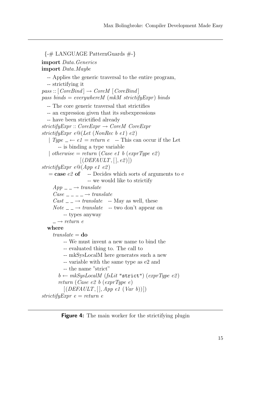```
\{-\# LANGUAGE PatternGuards \#-
import Data.Generics
import Data.Maybe
  -- Applies the generic traversal to the entire program,
  -- strictifying it
pass :: [CoreBind] \rightarrow CoreM [CoreBind]pass binds = everywhereM (mkM strictify Expr) binds
  -- The core generic traversal that strictifies
  -- an expression given that its subexpressions
  -- have been strictified already
strictifyExpr :: CoreExpr \rightarrow CoreM CoreExpr
strictifyExpr e@(Let (NonRec b e1) e2)| Type - \leftarrow e1 = return e -- This can occur if the Let
       -- is binding a type variable
   | otherwise = return (Case e1 b (exprType e2)
                  [(DEFAULT, [ ], e2 )])strictifyExpr e \mathcal{Q}(App \ e1 \ e2)= \cose e2 of -- Decides which sorts of arguments to e
                     -- we would like to strictify
     App \_\_ \rightarrow translateCase \_ \_ \_ \_ \_ \_ \_ \_ \_Cast \_\_ \rightarrow translate \_\_ -- May as well, these
     Note \rightharpoonup = \rightharpoonup translate \rightharpoonup \text{two} don't appear on
          -- types anyway
     \bar{z} \rightarrow return ewhere
     translate =do
          -- We must invent a new name to bind the
          -- evaluated thing to. The call to
          -- mkSysLocalM here generates such a new
          -- variable with the same type as e2 and
          -- the name "strict"
       b \leftarrow mkSysLocalM (fsLit "strict") (exprType e2)
       return (Case e2 b (exprType e)
          [(DEFAULT, [], App\text{ et } (Var\text{ }b))])strictifyExpr e = return e
```
#### <span id="page-14-0"></span>**Figure 4:** The main worker for the strictifying plugin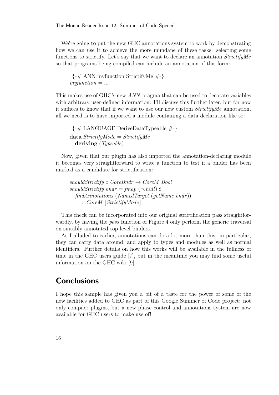The Monad.Reader Issue 12: Summer of Code Special

We're going to put the new GHC annotations system to work by demonstrating how we can use it to achieve the more mundane of these tasks: selecting some functions to strictify. Let's say that we want to declare an annotation  $StrictifyMe$ so that programs being compiled can include an annotation of this form:

```
\{-\# ANN myfunction StrictifyMe \#-
mylunction = ...
```
This makes use of GHC's new ANN pragma that can be used to decorate variables with arbitrary user-defined information. I'll discuss this further later, but for now it suffices to know that if we want to use our new custom  $StrictifyMe$  annotation, all we need is to have imported a module containing a data declaration like so:

{-# LANGUAGE DeriveDataTypeable #-} data  $StrictifyMode = StrictifyMe$ deriving (Typeable)

Now, given that our plugin has also imported the annotation-declaring module it becomes very straightforward to write a function to test if a binder has been marked as a candidate for strictification:

```
should Strictify :: CoreBndr \rightarrow CoreM Bool
shouldStrictify bndr = fmap (\neg null)findAn notations (Named Target (getName <i>bndr</i>)):: \textit{CoreM} \; [\textit{StrictifyMode}]
```
This check can be incorporated into our original strictification pass straightforwardly, by having the *pass* function of Figure [4](#page-14-0) only perform the generic traversal on suitably annotated top-level binders.

As I alluded to earlier, annotations can do a lot more than this: in particular, they can carry data around, and apply to types and modules as well as normal identifiers. Further details on how this works will be available in the fullness of time in the GHC users guide [\[7\]](#page-16-6), but in the meantime you may find some useful information on the GHC wiki [\[9\]](#page-16-8).

## **Conclusions**

I hope this sample has given you a bit of a taste for the power of some of the new facilities added to GHC as part of this Google Summer of Code project: not only compiler plugins, but a new phase control and annotations system are now available for GHC users to make use of!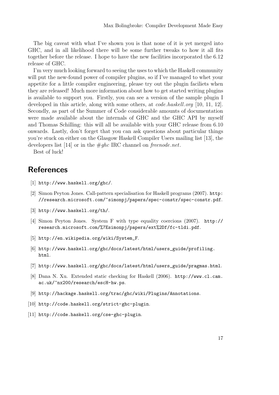The big caveat with what I've shown you is that none of it is yet merged into GHC, and in all likelihood there will be some further tweaks to how it all fits together before the release. I hope to have the new facilities incorporated the 6.12 release of GHC.

I'm very much looking forward to seeing the uses to which the Haskell community will put the new-found power of compiler plugins, so if I've managed to whet your appetite for a little compiler engineering, please try out the plugin faciliets when they are released! Much more information about how to get started writing plugins is available to support you. Firstly, you can see a version of the sample plugin I developed in this article, along with some others, at *code.haskell.org* [\[10,](#page-16-9) [11,](#page-16-10) [12\]](#page-17-0). Secondly, as part of the Summer of Code considerable amounts of documentation were made available about the internals of GHC and the GHC API by myself and Thomas Schilling: this will all be available with your GHC release from 6.10 onwards. Lastly, don't forget that you can ask questions about particular things you're stuck on either on the Glasgow Haskell Compiler Users mailing list [\[13\]](#page-17-1), the developers list [\[14\]](#page-17-2) or in the  $\# ghc \text{ IRC channel on } \text{freenode.net}.$ 

Best of luck!

## **References**

- <span id="page-16-0"></span>[1] <http://www.haskell.org/ghc/>.
- <span id="page-16-1"></span>[2] Simon Peyton Jones. Call-pattern specialisation for Haskell programs (2007). [http:](http://research.microsoft.com/~simonpj/papers/spec-constr/spec-constr.pdf) [//research.microsoft.com/~simonpj/papers/spec-constr/spec-constr.pdf](http://research.microsoft.com/~simonpj/papers/spec-constr/spec-constr.pdf).
- <span id="page-16-2"></span>[3] <http://www.haskell.org/th/>.
- <span id="page-16-3"></span>[4] Simon Peyton Jones. System F with type equality coercions (2007). [http://](http://research.microsoft.com/%7Esimonpj/papers/ext%2Df/fc-tldi.pdf) [research.microsoft.com/%7Esimonpj/papers/ext%2Df/fc-tldi.pdf](http://research.microsoft.com/%7Esimonpj/papers/ext%2Df/fc-tldi.pdf).
- <span id="page-16-4"></span>[5] [http://en.wikipedia.org/wiki/System\\_F](http://en.wikipedia.org/wiki/System_F).
- <span id="page-16-5"></span>[6] [http://www.haskell.org/ghc/docs/latest/html/users\\_guide/profiling.](http://www.haskell.org/ghc/docs/latest/html/users_guide/profiling.html) [html](http://www.haskell.org/ghc/docs/latest/html/users_guide/profiling.html).
- <span id="page-16-6"></span>[7] [http://www.haskell.org/ghc/docs/latest/html/users\\_guide/pragmas.html](http://www.haskell.org/ghc/docs/latest/html/users_guide/pragmas.html).
- <span id="page-16-7"></span>[8] Dana N. Xu. Extended static checking for Haskell (2006). [http://www.cl.cam.](http://www.cl.cam.ac.uk/~nx200/research/escH-hw.ps) [ac.uk/~nx200/research/escH-hw.ps](http://www.cl.cam.ac.uk/~nx200/research/escH-hw.ps).
- <span id="page-16-8"></span>[9] <http://hackage.haskell.org/trac/ghc/wiki/Plugins/Annotations>.
- <span id="page-16-9"></span>[10] <http://code.haskell.org/strict-ghc-plugin>.
- <span id="page-16-10"></span>[11] <http://code.haskell.org/cse-ghc-plugin>.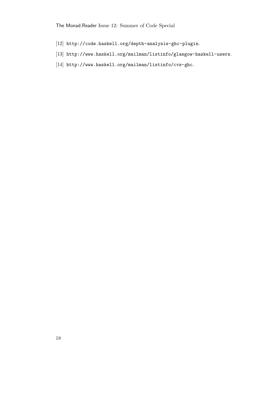The Monad.Reader Issue 12: Summer of Code Special

- <span id="page-17-0"></span>[12] <http://code.haskell.org/depth-analysis-ghc-plugin>.
- <span id="page-17-1"></span>[13] <http://www.haskell.org/mailman/listinfo/glasgow-haskell-users>.
- <span id="page-17-2"></span>[14] <http://www.haskell.org/mailman/listinfo/cvs-ghc>.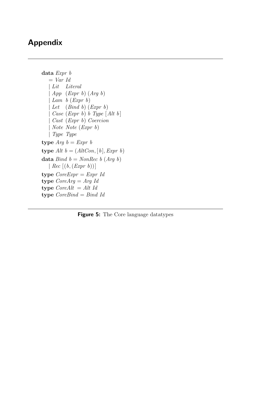## Appendix

data Expr b  $= Var Id$ | Lit Literal  $\mid App \text{ (Expr } b) \text{ (Arg } b)$  $Lam \; b \; (Expr \; b)$ | Let  $(Bind b)$   $(Expr b)$  $| Case (Expr b) b Type [Alt b]$ | Cast (Expr b) Coercion | Note Note (Expr b) | Type Type type  $Arg b = Expr b$ type  $Alt b = (AltCon, [b], Expr b)$ data Bind  $b = \text{NonRec } b \text{ (Arg } b)$  $\mid Rec [(b,(Expr b))]$ type  $CoreExpr = Expr$  Id type  $CoreArg = Arg$  Id type  $CoreAlt = Alt Id$ type  $CoreBind = Bind Id$ 

<span id="page-18-0"></span>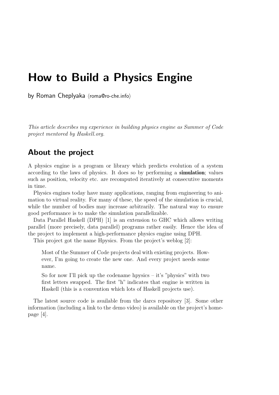# How to Build a Physics Engine

by Roman Cheplyaka (roma@ro-che.info)

<span id="page-20-0"></span>This article describes my experience in building physics engine as Summer of Code project mentored by Haskell.org.

## About the project

A physics engine is a program or library which predicts evolution of a system according to the laws of physics. It does so by performing a simulation; values such as position, velocity etc. are recomputed iteratively at consecutive moments in time.

Physics engines today have many applications, ranging from engineering to animation to virtual reality. For many of these, the speed of the simulation is crucial, while the number of bodies may increase arbitrarily. The natural way to ensure good performance is to make the simulation parallelizable.

Data Parallel Haskell (DPH) [\[1\]](#page-24-0) is an extension to GHC which allows writing parallel (more precisely, data parallel) programs rather easily. Hence the idea of the project to implement a high-performance physics engine using DPH.

This project got the name Hpysics. From the project's weblog [\[2\]](#page-24-1):

Most of the Summer of Code projects deal with existing projects. However, I'm going to create the new one. And every project needs some name.

So for now I'll pick up the codename hpysics – it's "physics" with two first letters swapped. The first "h" indicates that engine is written in Haskell (this is a convention which lots of Haskell projects use).

The latest source code is available from the darcs repository [\[3\]](#page-24-2). Some other information (including a link to the demo video) is available on the project's homepage [\[4\]](#page-24-3).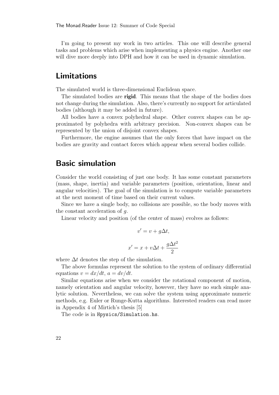I'm going to present my work in two articles. This one will describe general tasks and problems which arise when implementing a physics engine. Another one will dive more deeply into DPH and how it can be used in dynamic simulation.

## Limitations

The simulated world is three-dimensional Euclidean space.

The simulated bodies are **rigid**. This means that the shape of the bodies does not change during the simulation. Also, there's currently no support for articulated bodies (although it may be added in future).

All bodies have a convex polyhedral shape. Other convex shapes can be approximated by polyhedra with arbitrary precision. Non-convex shapes can be represented by the union of disjoint convex shapes.

Furthermore, the engine assumes that the only forces that have impact on the bodies are gravity and contact forces which appear when several bodies collide.

### Basic simulation

Consider the world consisting of just one body. It has some constant parameters (mass, shape, inertia) and variable parameters (position, orientation, linear and angular velocities). The goal of the simulation is to compute variable parameters at the next moment of time based on their current values.

Since we have a single body, no collisions are possible, so the body moves with the constant acceleration of g.

Linear velocity and position (of the center of mass) evolves as follows:

$$
v' = v + g\Delta t,
$$
  

$$
x' = x + v\Delta t + \frac{g\Delta t^2}{2}
$$

where  $\Delta t$  denotes the step of the simulation.

The above formulas represent the solution to the system of ordinary differential equations  $v = dx/dt$ ,  $a = dv/dt$ .

Similar equations arise when we consider the rotational component of motion, namely orientation and angular velocity, however, they have no such simple analytic solution. Nevertheless, we can solve the system using approximate numeric methods, e.g. Euler or Runge-Kutta algorithms. Interested readers can read more in Appendix 4 of Mirtich's thesis [\[5\]](#page-24-4)

The code is in Hpysics/Simulation.hs.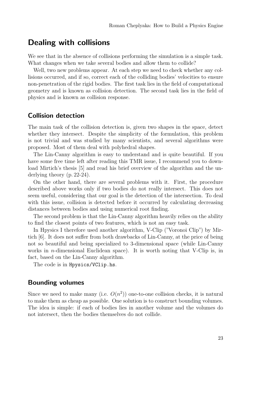## Dealing with collisions

We see that in the absence of collisions performing the simulation is a simple task. What changes when we take several bodies and allow them to collide?

Well, two new problems appear. At each step we need to check whether any collisions occurred, and if so, correct each of the colliding bodies' velocities to ensure non-penetration of the rigid bodies. The first task lies in the field of computational geometry and is known as collision detection. The second task lies in the field of physics and is known as collision response.

#### Collision detection

The main task of the collision detection is, given two shapes in the space, detect whether they intersect. Despite the simplicity of the formulation, this problem is not trivial and was studied by many scientists, and several algorithms were proposed. Most of them deal with polyhedral shapes.

The Lin-Canny algorithm is easy to understand and is quite beautiful. If you have some free time left after reading this TMR issue, I recommend you to download Mirtich's thesis [\[5\]](#page-24-4) and read his brief overview of the algorithm and the underlying theory (p. 22-24).

On the other hand, there are several problems with it. First, the procedure described above works only if two bodies do not really intersect. This does not seem useful, considering that our goal is the detection of the intersection. To deal with this issue, collision is detected before it occurred by calculating decreasing distances between bodies and using numerical root finding.

The second problem is that the Lin-Canny algorithm heavily relies on the ability to find the closest points of two features, which is not an easy task.

In Hpysics I therefore used another algorithm, V-Clip ("Voronoi Clip") by Mirtich [\[6\]](#page-24-5). It does not suffer from both drawbacks of Lin-Canny, at the price of being not so beautiful and being specialized to 3-dimensional space (while Lin-Canny works in *n*-dimensional Euclidean space). It is worth noting that V-Clip is, in fact, based on the Lin-Canny algorithm.

The code is in Hpysics/VClip.hs.

#### Bounding volumes

Since we need to make many (i.e.  $O(n^2)$ ) one-to-one collision checks, it is natural to make them as cheap as possible. One solution is to construct bounding volumes. The idea is simple: if each of bodies lies in another volume and the volumes do not intersect, then the bodies themselves do not collide.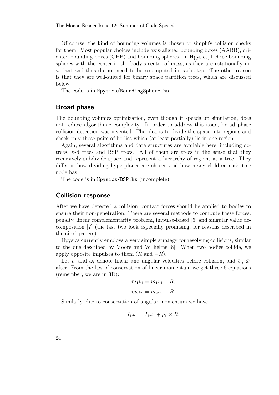The Monad.Reader Issue 12: Summer of Code Special

Of course, the kind of bounding volumes is chosen to simplify collision checks for them. Most popular choices include axis-aligned bounding boxes (AABB), oriented bounding-boxes (OBB) and bounding spheres. In Hpysics, I chose bounding spheres with the center in the body's center of mass, as they are rotationally invariant and thus do not need to be recomputed in each step. The other reason is that they are well-suited for binary space partition trees, which are discussed below.

The code is in Hpysics/BoundingSphere.hs.

#### Broad phase

The bounding volumes optimization, even though it speeds up simulation, does not reduce algorithmic complexity. In order to address this issue, broad phase collision detection was invented. The idea is to divide the space into regions and check only those pairs of bodies which (at least partially) lie in one region.

Again, several algorithms and data structures are available here, including octrees, k-d trees and BSP trees. All of them are trees in the sense that they recursively subdivide space and represent a hierarchy of regions as a tree. They differ in how dividing hyperplanes are chosen and how many children each tree node has.

The code is in Hpysics/BSP.hs (incomplete).

#### Collision response

After we have detected a collision, contact forces should be applied to bodies to ensure their non-penetration. There are several methods to compute these forces: penalty, linear complementarity problem, impulse-based [\[5\]](#page-24-4) and singular value decomposition [\[7\]](#page-25-0) (the last two look especially promising, for reasons described in the cited papers).

Hpysics currently employs a very simple strategy for resolving collisions, similar to the one described by Moore and Wilhelms [\[8\]](#page-25-1). When two bodies collide, we apply opposite impulses to them  $(R \text{ and } -R)$ .

Let  $v_i$  and  $\omega_i$  denote linear and angular velocities before collision, and  $\bar{v}_i$ ,  $\bar{\omega}_i$ after. From the law of conservation of linear momentum we get three 6 equations (remember, we are in 3D):

$$
m_1\bar{v}_1 = m_1v_1 + R,
$$
  

$$
m_2\bar{v}_2 = m_2v_2 - R.
$$

Similarly, due to conservation of angular momentum we have

$$
I_1\bar{\omega}_1 = I_1\omega_1 + \rho_1 \times R,
$$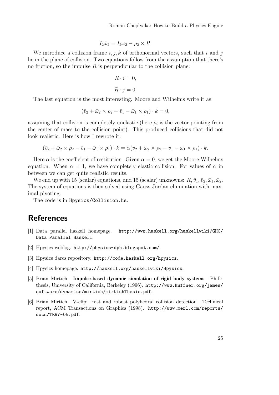$$
I_2\bar{\omega}_2 = I_2\omega_2 - \rho_2 \times R.
$$

We introduce a collision frame  $i, j, k$  of orthonormal vectors, such that i and j lie in the plane of collision. Two equations follow from the assumption that there's no friction, so the impulse  $R$  is perpendicular to the collision plane:

$$
R \cdot i = 0,
$$

$$
R \cdot j = 0.
$$

The last equation is the most interesting. Moore and Wilhelms write it as

$$
(\bar{v}_2 + \bar{\omega}_2 \times \rho_2 - \bar{v}_1 - \bar{\omega}_1 \times \rho_1) \cdot k = 0,
$$

assuming that collision is completely unelastic (here  $\rho_i$  is the vector pointing from the center of mass to the collision point). This produced collisions that did not look realistic. Here is how I rewrote it:

$$
(\bar{v}_2 + \bar{\omega}_2 \times \rho_2 - \bar{v}_1 - \bar{\omega}_1 \times \rho_1) \cdot k = \alpha(v_2 + \omega_2 \times \rho_2 - v_1 - \omega_1 \times \rho_1) \cdot k.
$$

Here  $\alpha$  is the coefficient of restitution. Given  $\alpha = 0$ , we get the Moore-Wilhelms equation. When  $\alpha = 1$ , we have completely elastic collision. For values of  $\alpha$  in between we can get quite realistic results.

We end up with 15 (scalar) equations, and 15 (scalar) unknowns:  $R, \bar{v}_1, \bar{v}_2, \bar{\omega}_1, \bar{\omega}_2$ . The system of equations is then solved using Gauss-Jordan elimination with maximal pivoting.

The code is in Hpysics/Collision.hs.

## References

- <span id="page-24-0"></span>[1] Data parallel haskell homepage. [http://www.haskell.org/haskellwiki/GHC/](http://www.haskell.org/haskellwiki/GHC/Data_Parallel_Haskell) [Data\\_Parallel\\_Haskell](http://www.haskell.org/haskellwiki/GHC/Data_Parallel_Haskell).
- <span id="page-24-1"></span>[2] Hpysics weblog. <http://physics-dph.blogspot.com/>.
- <span id="page-24-2"></span>[3] Hpysics darcs repository. <http://code.haskell.org/hpysics>.
- <span id="page-24-3"></span>[4] Hpysics homepage. <http://haskell.org/haskellwiki/Hpysics>.
- <span id="page-24-4"></span>[5] Brian Mirtich. Impulse-based dynamic simulation of rigid body systems. Ph.D. thesis, University of California, Berkeley (1996). [http://www.kuffner.org/james/](http://www.kuffner.org/james/software/dynamics/mirtich/mirtichThesis.pdf) [software/dynamics/mirtich/mirtichThesis.pdf](http://www.kuffner.org/james/software/dynamics/mirtich/mirtichThesis.pdf).
- <span id="page-24-5"></span>[6] Brian Mirtich. V-clip: Fast and robust polyhedral collision detection. Technical report, ACM Transactions on Graphics (1998). [http://www.merl.com/reports/](http://www.merl.com/reports/docs/TR97-05.pdf) [docs/TR97-05.pdf](http://www.merl.com/reports/docs/TR97-05.pdf).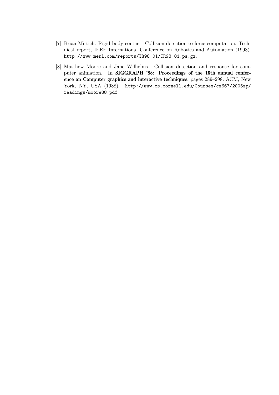- <span id="page-25-0"></span>[7] Brian Mirtich. Rigid body contact: Collision detection to force computation. Technical report, IEEE International Conference on Robotics and Automation (1998). <http://www.merl.com/reports/TR98-01/TR98-01.ps.gz>.
- <span id="page-25-1"></span>[8] Matthew Moore and Jane Wilhelms. Collision detection and response for computer animation. In SIGGRAPH '88: Proceedings of the 15th annual conference on Computer graphics and interactive techniques, pages 289–298. ACM, New York, NY, USA (1988). [http://www.cs.cornell.edu/Courses/cs667/2005sp/](http://www.cs.cornell.edu/Courses/cs667/2005sp/readings/moore88.pdf) [readings/moore88.pdf](http://www.cs.cornell.edu/Courses/cs667/2005sp/readings/moore88.pdf).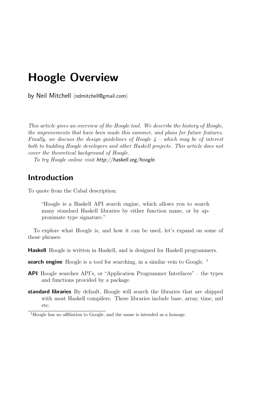# Hoogle Overview

by Neil Mitchell (ndmitchell@gmail.com)

<span id="page-26-0"></span>This article gives an overview of the Hoogle tool. We describe the history of Hoogle, the improvements that have been made this summer, and plans for future features. Finally, we discuss the design quidelines of Hoogle  $4$  – which may be of interest both to budding Hoogle developers and other Haskell projects. This article does not cover the theoretical background of Hoogle.

To try Hoogle online visit http://haskell.org/hoogle.

## Introduction

To quote from the Cabal description:

"Hoogle is a Haskell API search engine, which allows you to search many standard Haskell libraries by either function name, or by approximate type signature."

To explore what Hoogle is, and how it can be used, let's expand on some of those phrases:

Haskell Hoogle is written in Haskell, and is designed for Haskell programmers.

search engine Hoogle is a tool for searching, in a similar vein to Google.<sup>[1](#page-0-0)</sup>

- API Hoogle searches API's, or "Application Programmer Interfaces" the types and functions provided by a package.
- **standard libraries** By default, Hoogle will search the libraries that are shipped with most Haskell compilers. These libraries include base, array, time, mtl etc.

<sup>&</sup>lt;sup>1</sup>Hoogle has no affiliation to Google, and the name is intended as a homage.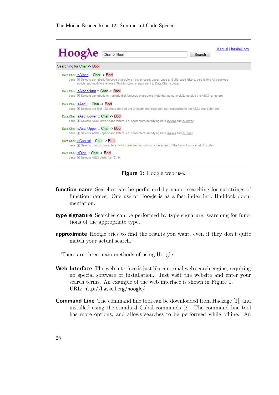| Hooghe Char -> Bool                                                            |                                                                                                         | Search                                                                                                                 | Manual   haskell.org |
|--------------------------------------------------------------------------------|---------------------------------------------------------------------------------------------------------|------------------------------------------------------------------------------------------------------------------------|----------------------|
| Searching for Char -> Bool                                                     |                                                                                                         |                                                                                                                        |                      |
| Data.Char isAlpha :: Char -> Bool                                              | scripts and modifiers letters). This function is equivalent to Data.Char.isLetter.                      | base ⊖ Selects alphabetic Unicode characters (lower-case, upper-case and title-case letters, plus letters of caseless  |                      |
| Data.Char isAlphaNum :: Char -> Bool                                           |                                                                                                         | base ⊕ Selects alphabetic or numeric digit Unicode characters.Note that numeric digits outside the ASCII range are     |                      |
| Data.Char isAscii :: Char -> Bool                                              |                                                                                                         | base $\oplus$ Selects the first 128 characters of the Unicode character set, corresponding to the ASCII character set. |                      |
| Data.Char isAsciiLower: Char -> Bool                                           | base @ Selects ASCII lower-case letters, i.e. characters satisfying both isAscii and isLower.           |                                                                                                                        |                      |
| Data.Char is AsciiUpper: Char -> Bool                                          | base $\bigoplus$ Selects ASCII upper-case letters, i.e. characters satisfying both isAscii and isUpper. |                                                                                                                        |                      |
| Data.Char isControl: Char -> Bool                                              |                                                                                                         | base $\bigoplus$ Selects control characters, which are the non-printing characters of the Latin-1 subset of Unicode.   |                      |
| Data.Char isDigit :: Char -> Bool<br>base @ Selects ASCII digits, i.e. '0''9'. |                                                                                                         |                                                                                                                        |                      |

<span id="page-27-0"></span>Figure 1: Hoogle web use.

- **function name** Searches can be performed by name, searching for substrings of function names. One use of Hoogle is as a fast index into Haddock documentation.
- type signature Searches can be performed by type signature, searching for functions of the appropriate type.
- **approximate** Hoogle tries to find the results you want, even if they don't quite match your actual search.

There are three main methods of using Hoogle:

- Web Interface The web interface is just like a normal web search engine, requiring no special software or installation. Just visit the website and enter your search terms. An example of the web interface is shown in Figure [1.](#page-27-0) URL: http://haskell.org/hoogle/
- Command Line The command line tool can be downloaded from Hackage [\[1\]](#page-34-0), and installed using the standard Cabal commands [\[2\]](#page-34-1). The command line tool has more options, and allows searches to be performed while offline. An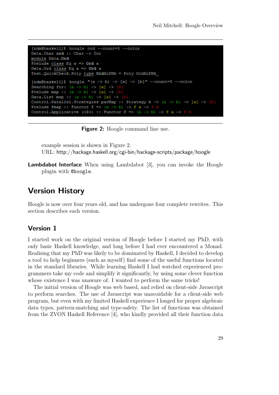```
[ndm@haskell]$ hoogle ord --count=5 --color
Data. Char ord :: Char -> Int
module Data.Ord
Prelude class Eq a => Ord a
Data. Ord class Eq a => Ord a
Test. QuickCheck. Poly type OrdALPHA = Poly OrdALPHA
Searching for: (a \rightarrow b) \rightarrow [a] \rightarrow<br>Prelude map :: (a \rightarrow b) \rightarrow [a] \rightarrowData. List map :: (a \rightarrow b) \rightarrow [a] \rightarrowControl. Parallel. Strategies parMap :: Strategy b -> (a -> b) -> [a] -> [b]
Prelude fmap :: Functor f \Rightarrow (a \rightarrow b) \Rightarrow f a \RightarrowControl. Applicative (\langle \hat{\varphi} \rangle) :: Functor f \Rightarrow (a \rightarrow b) \Rightarrow f
```
<span id="page-28-0"></span>Figure 2: Hoogle command line use.

example session is shown in Figure [2.](#page-28-0) URL: http://hackage.haskell.org/cgi-bin/hackage-scripts/package/hoogle

**Lambdabot Interface** When using Lambdabot [\[3\]](#page-34-2), you can invoke the Hoogle plugin with @hoogle.

## Version History

Hoogle is now over four years old, and has undergone four complete rewrites. This section describes each version.

#### Version 1

I started work on the original version of Hoogle before I started my PhD, with only basic Haskell knowledge, and long before I had ever encountered a Monad. Realising that my PhD was likely to be dominated by Haskell, I decided to develop a tool to help beginners (such as myself) find some of the useful functions located in the standard libraries. While learning Haskell I had watched experienced programmers take my code and simplify it significantly, by using some clever function whose existence I was unaware of. I wanted to perform the same tricks!

The initial version of Hoogle was web based, and relied on client-side Javascript to perform searches. The use of Javascript was unavoidable for a client-side web program, but even with my limited Haskell experience I longed for proper algebraic data types, pattern-matching and type-safety. The list of functions was obtained from the ZVON Haskell Reference [\[4\]](#page-34-3), who kindly provided all their function data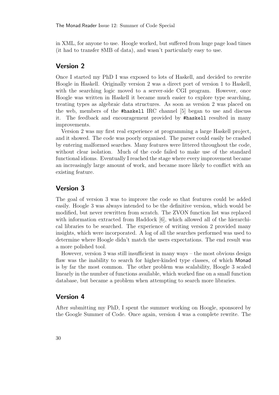in XML, for anyone to use. Hoogle worked, but suffered from huge page load times (it had to transfer 8MB of data), and wasn't particularly easy to use.

#### Version 2

Once I started my PhD I was exposed to lots of Haskell, and decided to rewrite Hoogle in Haskell. Originally version 2 was a direct port of version 1 to Haskell, with the searching logic moved to a server-side CGI program. However, once Hoogle was written in Haskell it became much easier to explore type searching, treating types as algebraic data structures. As soon as version 2 was placed on the web, members of the #haskell IRC channel [\[5\]](#page-34-4) began to use and discuss it. The feedback and encouragement provided by #haskell resulted in many improvements.

Version 2 was my first real experience at programming a large Haskell project, and it showed. The code was poorly organised. The parser could easily be crashed by entering malformed searches. Many features were littered throughout the code, without clear isolation. Much of the code failed to make use of the standard functional idioms. Eventually I reached the stage where every improvement became an increasingly large amount of work, and became more likely to conflict with an existing feature.

### Version 3

The goal of version 3 was to improve the code so that features could be added easily. Hoogle 3 was always intended to be the definitive version, which would be modified, but never rewritten from scratch. The ZVON function list was replaced with information extracted from Haddock [\[6\]](#page-34-5), which allowed all of the hierarchical libraries to be searched. The experience of writing version 2 provided many insights, which were incorporated. A log of all the searches performed was used to determine where Hoogle didn't match the users expectations. The end result was a more polished tool.

However, version 3 was still insufficient in many ways – the most obvious design flaw was the inability to search for higher-kinded type classes, of which Monad is by far the most common. The other problem was scalability, Hoogle 3 scaled linearly in the number of functions available, which worked fine on a small function database, but became a problem when attempting to search more libraries.

#### Version 4

After submitting my PhD, I spent the summer working on Hoogle, sponsored by the Google Summer of Code. Once again, version 4 was a complete rewrite. The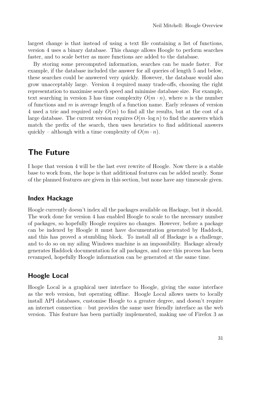largest change is that instead of using a text file containing a list of functions, version 4 uses a binary database. This change allows Hoogle to perform searches faster, and to scale better as more functions are added to the database.

By storing some precomputed information, searches can be made faster. For example, if the database included the answer for all queries of length 5 and below, these searches could be answered very quickly. However, the database would also grow unacceptably large. Version 4 required many trade-offs, choosing the right representation to maximise search speed and minimise database size. For example, text searching in version 3 has time complexity  $O(m \cdot n)$ , where n is the number of functions and  $m$  is average length of a function name. Early releases of version 4 used a trie and required only  $O(m)$  to find all the results, but at the cost of a large database. The current version requires  $O(m \cdot \log n)$  to find the answers which match the prefix of the search, then uses heuristics to find additional answers quickly – although with a time complexity of  $O(m \cdot n)$ .

## The Future

I hope that version 4 will be the last ever rewrite of Hoogle. Now there is a stable base to work from, the hope is that additional features can be added neatly. Some of the planned features are given in this section, but none have any timescale given.

### Index Hackage

Hoogle currently doesn't index all the packages available on Hackage, but it should. The work done for version 4 has enabled Hoogle to scale to the necessary number of packages, so hopefully Hoogle requires no changes. However, before a package can be indexed by Hoogle it must have documentation generated by Haddock, and this has proved a stumbling block. To install all of Hackage is a challenge, and to do so on my ailing Windows machine is an impossibility. Hackage already generates Haddock documentation for all packages, and once this process has been revamped, hopefully Hoogle information can be generated at the same time.

### Hoogle Local

Hoogle Local is a graphical user interface to Hoogle, giving the same interface as the web version, but operating offline. Hoogle Local allows users to locally install API databases, customise Hoogle to a greater degree, and doesn't require an internet connection – but provides the same user friendly interface as the web version. This feature has been partially implemented, making use of Firefox 3 as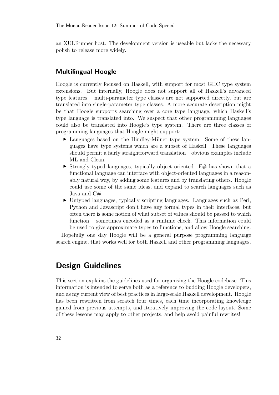an XULRunner host. The development version is useable but lacks the necessary polish to release more widely.

### Multilingual Hoogle

Hoogle is currently focused on Haskell, with support for most GHC type system extensions. But internally, Hoogle does not support all of Haskell's advanced type features – multi-parameter type classes are not supported directly, but are translated into single-parameter type classes. A more accurate description might be that Hoogle supports searching over a core type language, which Haskell's type language is translated into. We suspect that other programming languages could also be translated into Hoogle's type system. There are three classes of programming languages that Hoogle might support:

- $\blacktriangleright$  Languages based on the Hindley-Milner type system. Some of these languages have type systems which are a subset of Haskell. These languages should permit a fairly straightforward translation – obvious examples include ML and Clean.
- $\triangleright$  Strongly typed languages, typically object oriented.  $F#$  has shown that a functional language can interface with object-oriented languages in a reasonably natural way, by adding some features and by translating others. Hoogle could use some of the same ideas, and expand to search languages such as Java and C#.
- $\triangleright$  Untyped languages, typically scripting languages. Languages such as Perl, Python and Javascript don't have any formal types in their interfaces, but often there is some notion of what subset of values should be passed to which function – sometimes encoded as a runtime check. This information could be used to give approximate types to functions, and allow Hoogle searching.

Hopefully one day Hoogle will be a general purpose programming language search engine, that works well for both Haskell and other programming languages.

## Design Guidelines

This section explains the guidelines used for organising the Hoogle codebase. This information is intended to serve both as a reference to budding Hoogle developers, and as my current view of best practices in large-scale Haskell development. Hoogle has been rewritten from scratch four times, each time incorporating knowledge gained from previous attempts, and iteratively improving the code layout. Some of these lessons may apply to other projects, and help avoid painful rewrites!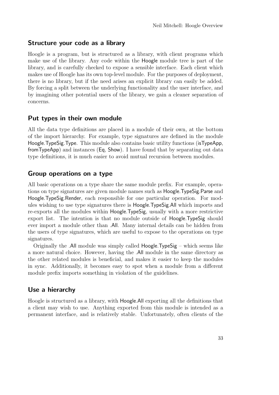### Structure your code as a library

Hoogle is a program, but is structured as a library, with client programs which make use of the library. Any code within the **Hoogle** module tree is part of the library, and is carefully checked to expose a sensible interface. Each client which makes use of Hoogle has its own top-level module. For the purposes of deployment, there is no library, but if the need arises an explicit library can easily be added. By forcing a split between the underlying functionality and the user interface, and by imagining other potential users of the library, we gain a cleaner separation of concerns.

#### Put types in their own module

All the data type definitions are placed in a module of their own, at the bottom of the import hierarchy. For example, type signatures are defined in the module Hoogle.TypeSig.Type. This module also contains basic utility functions (isTypeApp, fromTypeApp) and instances (Eq, Show). I have found that by separating out data type definitions, it is much easier to avoid mutual recursion between modules.

### Group operations on a type

All basic operations on a type share the same module prefix. For example, operations on type signatures are given module names such as Hoogle.TypeSig.Parse and Hoogle.TypeSig.Render, each responsible for one particular operation. For modules wishing to use type signatures there is Hoogle.TypeSig.All which imports and re-exports all the modules within Hoogle.TypeSig, usually with a more restrictive export list. The intention is that no module outside of **Hoogle.**TypeSig should ever import a module other than .All. Many internal details can be hidden from the users of type signatures, which are useful to expose to the operations on type signatures.

Originally the .All module was simply called Hoogle.TypeSig – which seems like a more natural choice. However, having the .All module in the same directory as the other related modules is beneficial, and makes it easier to keep the modules in sync. Additionally, it becomes easy to spot when a module from a different module prefix imports something in violation of the guidelines.

### Use a hierarchy

Hoogle is structured as a library, with Hoogle.All exporting all the definitions that a client may wish to use. Anything exported from this module is intended as a permanent interface, and is relatively stable. Unfortunately, often clients of the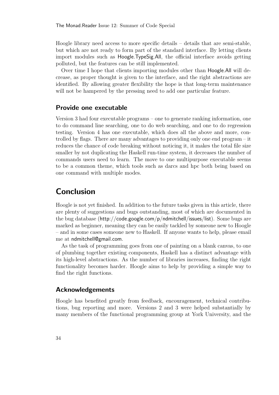The Monad.Reader Issue 12: Summer of Code Special

Hoogle library need access to more specific details – details that are semi-stable, but which are not ready to form part of the standard interface. By letting clients import modules such as Hoogle.TypeSig.All, the official interface avoids getting polluted, but the features can be still implemented.

Over time I hope that clients importing modules other than Hoogle.All will decrease, as proper thought is given to the interface, and the right abstractions are identified. By allowing greater flexibility the hope is that long-term maintenance will not be hampered by the pressing need to add one particular feature.

#### Provide one executable

Version 3 had four executable programs – one to generate ranking information, one to do command line searching, one to do web searching, and one to do regression testing. Version 4 has one executable, which does all the above and more, controlled by flags. There are many advantages to providing only one end program – it reduces the chance of code breaking without noticing it, it makes the total file size smaller by not duplicating the Haskell run-time system, it decreases the number of commands users need to learn. The move to one multipurpose executable seems to be a common theme, which tools such as darcs and hpc both being based on one command with multiple modes.

## Conclusion

Hoogle is not yet finished. In addition to the future tasks given in this article, there are plenty of suggestions and bugs outstanding, most of which are documented in the bug database (http://code.google.com/p/ndmitchell/issues/list). Some bugs are marked as beginner, meaning they can be easily tackled by someone new to Hoogle – and in some cases someone new to Haskell. If anyone wants to help, please email me at ndmitchell@gmail.com.

As the task of programming goes from one of painting on a blank canvas, to one of plumbing together existing components, Haskell has a distinct advantage with its high-level abstractions. As the number of libraries increases, finding the right functionality becomes harder. Hoogle aims to help by providing a simple way to find the right functions.

#### Acknowledgements

Hoogle has benefited greatly from feedback, encouragement, technical contributions, bug reporting and more. Versions 2 and 3 were helped substantially by many members of the functional programming group at York University, and the